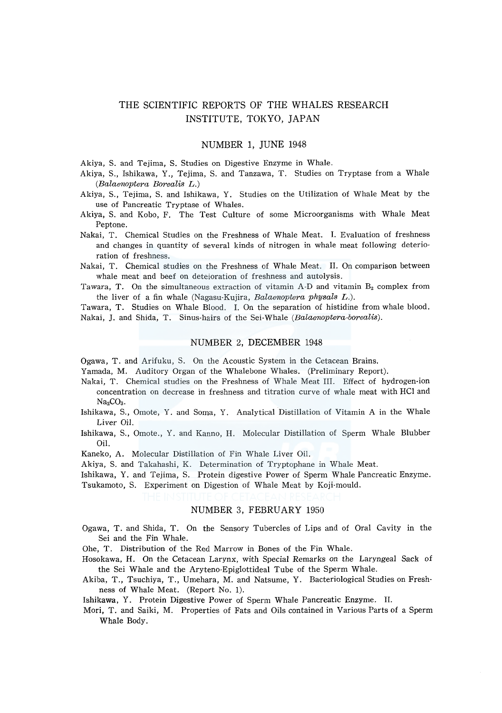# THE SCIENTIFIC REPORTS OF THE WHALES RESEARCH INSTITUTE, TOKYO, JAPAN

# NUMBER l, JUNE 1948

Akiya, S. and Tejima, S. Studies on Digestive Enzyme in Whale.

- Akiya, S., Ishikawa, Y., Tejima, S. and Tanzawa, T. Studies on Tryptase from a Whale *(Balaenoptera Borealis* L.)
- Akiya, S., Tejima, S. and Ishikawa, Y. Studies on the Utilization of Whale Meat by the use of Pancreatic Tryptase of Whales.
- Akiya, S. and Kobo, F. The Test Culture of some Microorganisms with Whale Meat Peptone.
- Nakai, T. Chemical Studies on the Freshness of Whale Meat. I. Evaluation of freshness and changes in quantity of several kinds of nitrogen in whale meat following deterioration of freshness.
- Nakai, T. Chemical studies on the Freshness of Whale Meat. II. On comparison between whale meat and beef on deteioration of freshness and autolysis.
- Tawara, T. On the simultaneous extraction of vitamin  $A-D$  and vitamin  $B_2$  complex from the liver of a fin whale (Nagasu-Kujira, *Balaenoptera physals* L.).

Tawara, T. Studies on Whale Blood. I. On the separation of histidine from whale blood. Nakai, J. and Shida, T. Sinus-hairs of the Sei-Whale *(Balaenoptera-borealis).* 

#### NUMBER 2, DECEMBER 1948

Ogawa, T. and Arifuku, S. On the Acoustic System in the Cetacean Brains.

Yamada, M. Auditory Organ of the Whalebone Whales. (Preliminary Report).

- Nakai, T. Chemical studies on the Freshness of Whale Meat III. Effect of hydrogen-ion concentration on decrease in freshness and titration curve of whale meat with HCl and  $Na<sub>2</sub>CO<sub>3</sub>$ .
- Ishikawa, S., Omote, Y. and Soma, Y. Analytical Distillation of Vitamin A in the Whale Liver Oil.
- Ishikawa, S., Omote., Y. and Kanno, H. Molecular Distillation of Sperm Whale Blubber Oil.
- Kaneko, A. Molecular Distillation of Fin Whale Liver Oil.

Akiya, S. and Takahashi, K. Determination of Tryptophane in Whale Meat.

Ishikawa, Y. and Tejima, S. Protein digestive Power of Sperm Whale Pancreatic Enzyme. Tsukamoto, S. Experiment on Digestion of Whale Meat by Koji-mould.

# NUMBER 3, FEBRUARY 1950

- Ogawa, T. and Shida, T. On the Sensory Tubercles of Lips and of Oral Cavity in the Sei and the Fin Whale.
- Ohe, T. Distribution of the Red Marrow in Bones of the Fin Whale.
- Hosokawa, H. On the Cetacean Larynx, with Special Remarks on the Laryngeal Sack of the Sei Whale and the Aryteno-Epiglottideal Tube of the Sperm Whale.
- Akiba, T., Tsuchiya, T., Umehara, M. and Natsume, Y. Bacteriological Studies on Freshness of Whale Meat. (Report No. 1).

Ishikawa, Y. Protein Digestive Power of Sperm Whale Pancreatic Enzyme. II.

Mori, T. and Saiki, M. Properties of Fats and Oils contained in Various Parts of a Sperm Whale Body.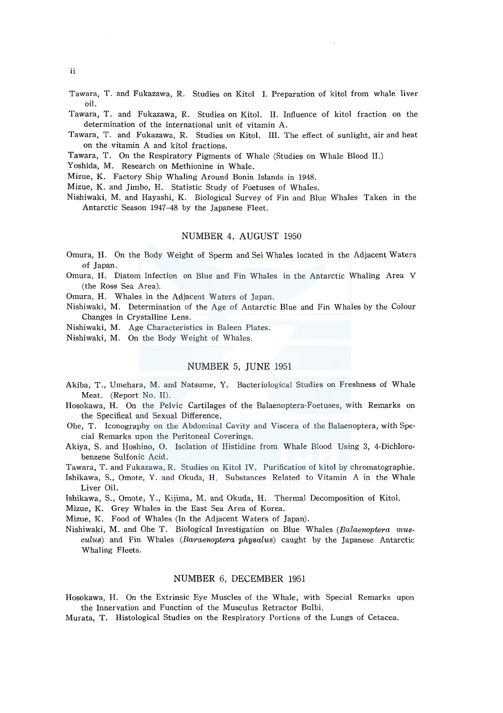- Tawara, T. and Fukazawa, R. Studies on Kitol I. Preparation of kitol from whale liver oil.
- Tawara, T. and Fukazawa, R. Studies on Kitol. II. Influence of kitol fraction on the determination of the international unit of vitamin A.
- Tawara, T. and Fukazawa, R. Studies on Kitol. III. The effect of sunlight, air and heat on the vitamin A and kitol fractions.
- Tawara, T. On the Respiratory Pigments of Whale (Studies on Whale Blood II.)
- Yoshida, M. Research on Methionine in Whale.

Mizue, K. Factory Ship Whaling Around Bonin Islands in 1948.

Mizue, K. and Jimbo, H. Statistic Study of Foetuses of Whales.

Nishiwaki, M. and Hayashi, K. Biological Survey of Fin and Blue Whales Taken in the Antarctic Season 1947-48 by the Japanese Fleet.

# NUMBER 4, AUGUST 1950

- Omura, H. On the Body Weight of Sperm and Sei Whales located in the Adjacent Waters of Japan.
- Omura, H. Diatom Infection on Blue and Fin Whales in the Antarctic Whaling Area V (the Ross Sea Area).

Omura, H. Whales in the Adjacent Waters of Japan.

- Nishiwaki, M. Determination of the Age of Antarctic Blue and Fin Whales by the Colour Changes in Crystalline Lens.
- Nishiwaki, M. Age Characteristics in Baleen Plates.

Nishiwaki, M. On the Body Weight of Whales.

#### NUMBER 5, JUNE 1951

- Akiba, T., Umehara, M. and Natsume, Y. Bacteriological Studies on Freshness of Whale Meat. (Report No. II).
- Hosokawa, H. On the Pelvic Cartilages of the Balaenoptera-Foetuses, with Remarks on the Specifical and Sexual Difference.
- Ohe, T. Iconography on the Abdominal Cavity and Viscera of the Balaenoptera, with Special Remarks upon the Peritoneal Coverings.
- Akiya, S. and Hoshino, 0. Isolation of Histidine from Whale Blood Using 3, 4-Dichlorobenzene Sulfonic Acid.
- Tawara, T. and Fukazawa, R. Studies on Kitol IV. Purification of kitol by chromatographie.
- Ishikawa, S., Omote, Y. and Okuda, H. Substances Related to Vitamin A in the Whale Liver Oil.

Ishikawa, S., Omote, Y ., Kijima, M. and Okuda, H. Thermal Decomposition of Kitol.

Mizue, K. Grey Whales in the East Sea Area of Korea.

Mizue, K. Food of Whales (In the Adjacent Waters of Japan).

Nishiwaki, M. and Ohe T. Biological Investigation on Blue Whales *(Balaenoptera musculus)* and Fin Whales *(Baraenoptera physalus)* caught by the Japanese Antarctic Whaling Fleets.

# NUMBER 6, DECEMBER 1951

Hosokawa, H. On the Extrinsic Eye Muscles of the Whale, with Special Remarks upon the Innervation and Function of the Musculus Retractor Bulbi.

Murata, T. Histological Studies on the Respiratory Portions of the Lungs of Cetacea.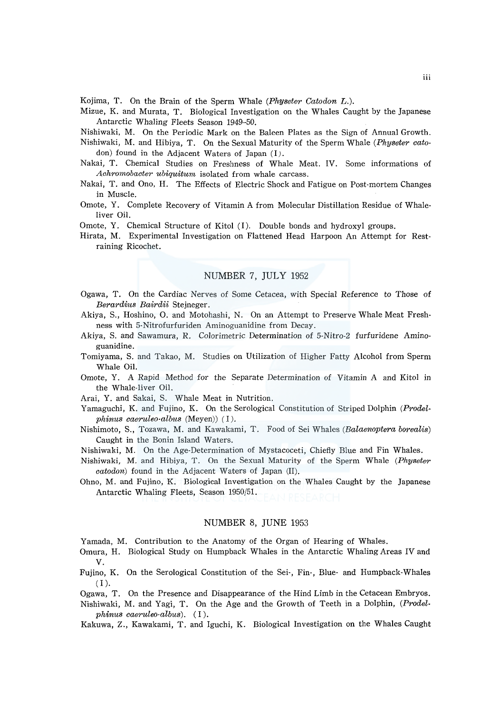Kojima, T. On the Brain of the Sperm Whale *(Physeter Catodon* L.).

Mizue, K. and Murata, T. Biological Investigation on the Whales Caught by the Japanese Antarctic Whaling Fleets Season 1949-50.

Nishiwaki, M. On the Periodic Mark on the Baleen Plates as the Sign of Annual Growth.

- Nishiwaki, M. and Hibiya, T. On the Sexual Maturity of the Sperm Whale *(Physeter cato*don) found in the Adjacent Waters of Japan (I).
- Nakai, T. Chemical Studies on Freshness of Whale Meat. IV. Some informations of *Achromobacter ubiquitum* isolated from whale carcass.
- Nakai, T. and Ono, H. The Effects of Electric Shock and Fatigue on Post-mortem Changes in Muscle.
- Omote, Y. Complete Recovery of Vitamin A from Molecular Distillation Residue of Whaleliver Oil.
- Omote, Y. Chemical Structure of Kitol (I). Double bonds and hydroxyl groups.
- Hirata, M. Experimental Investigation on Flattened Head Harpoon An Attempt for Restraining Ricochet.

# NUMBER 7, JULY 1952

- Ogawa, T. On the Cardiac Nerves of Some Cetacea, with Special Reference *to* Those of *Berardius Bairdii* Stejneger.
- Akiya, S., Hoshino, 0. and Motohashi, N. On an Attempt *to* Preserve Whale Meat Freshness with 5-Nitrofurfuriden Aminoguanidine from Decay.
- Akiya, S. and Sawamura, R. Colorimetric Determination of 5-Nitro-2 furfuridene Aminoguanidine.
- Tomiyama, S. and Takao, M. Studies on Utilization of Higher Fatty Alcohol from Sperm Whale Oil.
- Omote, Y. A Rapid Method for the Separate Determination of Vitamin A and Kitol in the Whale-liver Oil.
- Arai, Y. and Sakai, S. Whale Meat in Nutrition.
- Yamaguchi, K. and Fujino, K. On the Serological Constitution of Striped Dolphin *(Prodelphinus caeruleo-albus* (Meyen)) (I).
- Nishimoto, S., Tozawa, M. and Kawakami, T. Food of Sei Whales *(Balaenoptera borealis)*  Caught in the Bonin Island Waters.
- Nishiwaki, M. On the Age-Determination of Mystacoceti, Chiefly Blue and Fin Whales.
- Nishiwaki, M. and Hibiya, T. On the Sexual Maturity of the Sperm Whale *(Physeter catodon)* found in the Adjacent Waters of Japan (II).
- Ohno, M. and Fujino, K. Biological Investigation on the Whales Caught by the Japanese Antarctic Whaling Fleets, Season 1950/51.

#### NUMBER 8, JUNE 1953

Yamada, M. Contribution to the Anatomy of the Organ of Hearing of Whales.

- Omura, H. Biological Study on Humpback Whales in the Antarctic Whaling Areas IV and v.
- Fujino, K. On the Serological Constitution of the Sei-, Fin-, Blue- and Humpback-Whales (I).
- Ogawa, T. On the Presence and Disappearance of the Hind Limb in the Cetacean Embryos.
- Nishiwaki, M. and Yagi, T. On the Age and the Growth of Teeth in a Dolphin, *(Prodelphinus caeruleo-albus).* (I).
- Kakuwa, Z., Kawakami, T. and Iguchi, K. Biological Investigation on the Whales Caught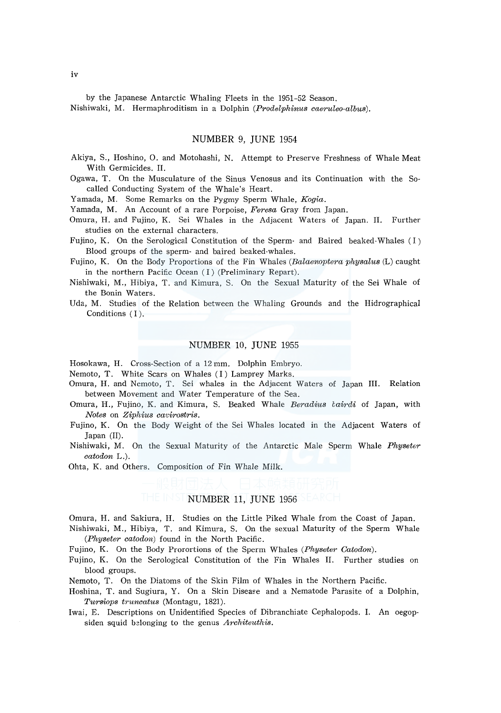by the Japanese Antarctic Whaling Fleets in the 1951-52 Season. Nishiwaki, M. Hermaphroditism in a Dolphin *(Prodelphinus caeruleo·albus).* 

#### NUMBER 9, JUNE 1954

- Akiya, S., Hoshino, 0. and Motohashi, N. Attempt to Preserve Freshness of Whale Meat With Germicides. II.
- Ogawa, T. On the Musculature of the Sinus Venosus and its Continuation with the Socalled Conducting System of the Whale's Heart.

Yamada, M. Some Remarks on the Pygmy Sperm Whale, *Kogia.* 

Yamada, M. An Account of a rare Porpoise, *Feresa* Gray from Japan.

- Omura, H. and Fujino, K. Sei Whales in the Adjacent Waters of Japan. II. Further studies on the external characters.
- Fujino, K. On the Serological Constitution of the Sperm· and Baired beaked-Whales (I) Blood groups of the sperm- and haired beaked·whales.
- Fujino, K. On the Body Proportions of the Fin Whales *(Balaenoptera physalus* (L) caught in the northern Pacific Ocean (I) (Preliminary Repart).
- Nishiwaki, M., Hibiya, T. and Kimura, S. On the Sexual Maturity of the Sei Whale of the Bonin Waters.
- Uda, M. Studies of the Relation between the Whaling Grounds and the Hidrographical Conditions (I).

# NUMBER 10, JUNE 1955

Hosokawa, H. Cross-Section of a 12 mm. Dolphin Embryo.

Nemoto, T. White Scars on Whales (I) Lamprey Marks.

- Omura, H. and Nemoto, T. Sei whales in the Adjacent Waters of Japan III. Relation between Movement and Water Temperature of the Sea.
- Omura, H., Fujino, K. and Kimura, S. Beaked Whale *Beradius eairdi* of Japan, with *Notes* on *Ziphius cavirostris.*
- Fujino, K. On the Body Weight of the Sei Whales located in the Adjacent Waters of Japan (II).
- Nishiwaki, M. On the Sexual Maturity of the Antarctic Male Sperm Whale *Physeter catodon* L.).
- Ohta, K. and Others. Composition of Fin Whale Milk.

#### NUMBER 11, JUNE 1956

Omura, H. and Sakiura, H. Studies on the Little Piked Whale from the Coast of Japan. Nishiwaki, M., Hibiya, T. and Kimura, S. On the sexual Maturity of the Sperm Whale *(Physeter catodon)* found in the North Pacific.

Fujino, K. On the Body Prorortions of the Sperm Whales *(Physeter Catodon).* 

Fujino, K. On the Serological Constitution of the Fin Whales II. Further studies on blood groups.

Nemoto, T. On the Diatoms of the Skin Film of Whales in the Northern Pacific.

- Hoshina, T. and Sugiura, Y. On a Skin Disease and a Nematode Parasite of a Dolphin, *Tursiops truncatus* (Montagu, 1821).
- Iwai, E. Descriptions on Unidentified Species of Dibranchiate Cephalopods. I. An oegopsiden squid belonging to the genus *Architeuthis.*